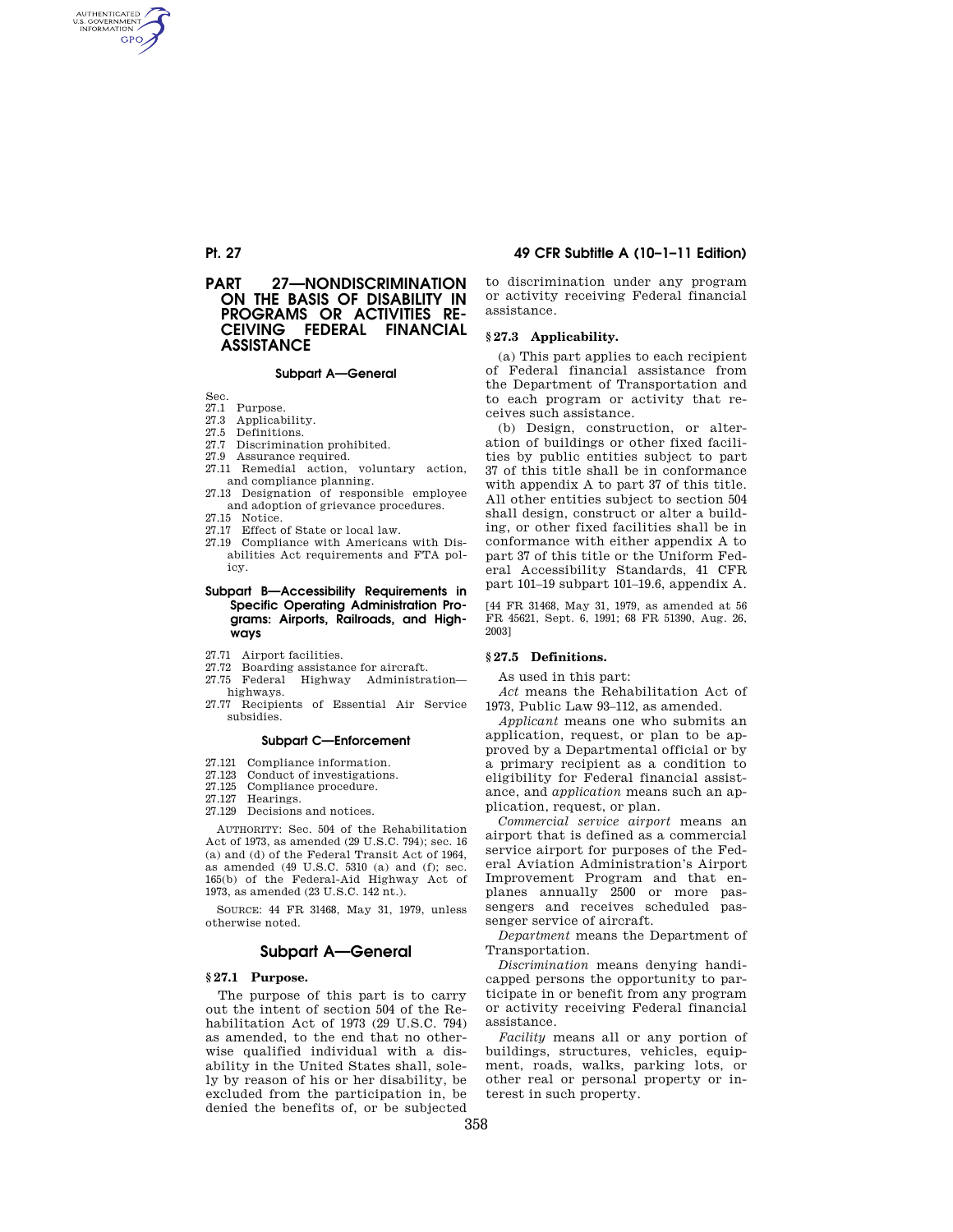AUTHENTICATED<br>U.S. GOVERNMENT<br>INFORMATION **GPO** 

# **PART 27—NONDISCRIMINATION ON THE BASIS OF DISABILITY IN PROGRAMS OR ACTIVITIES RE-CEIVING FEDERAL FINANCIAL ASSISTANCE**

## **Subpart A—General**

Sec.

- 27.1 Purpose
- 27.3 Applicability.
- 27.5 Definitions.
- 27.7 Discrimination prohibited.
- 27.9 Assurance required.
- 27.11 Remedial action, voluntary action, and compliance planning.
- 27.13 Designation of responsible employee and adoption of grievance procedures.
- 27.15 Notice.
- 27.17 Effect of State or local law.
- 27.19 Compliance with Americans with Disabilities Act requirements and FTA policy.

## **Subpart B—Accessibility Requirements in Specific Operating Administration Programs: Airports, Railroads, and Highways**

- 27.71 Airport facilities.
- 27.72 Boarding assistance for aircraft.
- 27.75 Federal Highway Administration—
- highways. 27.77 Recipients of Essential Air Service subsidies.

## **Subpart C—Enforcement**

- 27.121 Compliance information.
- 27.123 Conduct of investigations.<br>27.125 Compliance procedure
- Compliance procedure.
- 27.127 Hearings.
- 27.129 Decisions and notices.

AUTHORITY: Sec. 504 of the Rehabilitation Act of 1973, as amended (29 U.S.C. 794); sec. 16 (a) and (d) of the Federal Transit Act of 1964, as amended (49 U.S.C. 5310 (a) and (f); sec. 165(b) of the Federal-Aid Highway Act of 1973, as amended (23 U.S.C. 142 nt.).

SOURCE: 44 FR 3l468, May 31, 1979, unless otherwise noted.

## **Subpart A—General**

## **§ 27.1 Purpose.**

The purpose of this part is to carry out the intent of section 504 of the Rehabilitation Act of 1973 (29 U.S.C. 794) as amended, to the end that no otherwise qualified individual with a disability in the United States shall, solely by reason of his or her disability, be excluded from the participation in, be denied the benefits of, or be subjected

## **Pt. 27 49 CFR Subtitle A (10–1–11 Edition)**

to discrimination under any program or activity receiving Federal financial assistance.

## **§ 27.3 Applicability.**

(a) This part applies to each recipient of Federal financial assistance from the Department of Transportation and to each program or activity that receives such assistance.

(b) Design, construction, or alteration of buildings or other fixed facilities by public entities subject to part 37 of this title shall be in conformance with appendix A to part 37 of this title. All other entities subject to section 504 shall design, construct or alter a building, or other fixed facilities shall be in conformance with either appendix A to part 37 of this title or the Uniform Federal Accessibility Standards, 41 CFR part 101–19 subpart 101–19.6, appendix A.

[44 FR 31468, May 31, 1979, as amended at 56 FR 45621, Sept. 6, 1991; 68 FR 51390, Aug. 26, 2003]

## **§ 27.5 Definitions.**

As used in this part:

*Act* means the Rehabilitation Act of 1973, Public Law 93–112, as amended.

*Applicant* means one who submits an application, request, or plan to be approved by a Departmental official or by a primary recipient as a condition to eligibility for Federal financial assistance, and *application* means such an application, request, or plan.

*Commercial service airport* means an airport that is defined as a commercial service airport for purposes of the Federal Aviation Administration's Airport Improvement Program and that enplanes annually 2500 or more passengers and receives scheduled passenger service of aircraft.

*Department* means the Department of Transportation.

*Discrimination* means denying handicapped persons the opportunity to participate in or benefit from any program or activity receiving Federal financial assistance.

*Facility* means all or any portion of buildings, structures, vehicles, equipment, roads, walks, parking lots, or other real or personal property or interest in such property.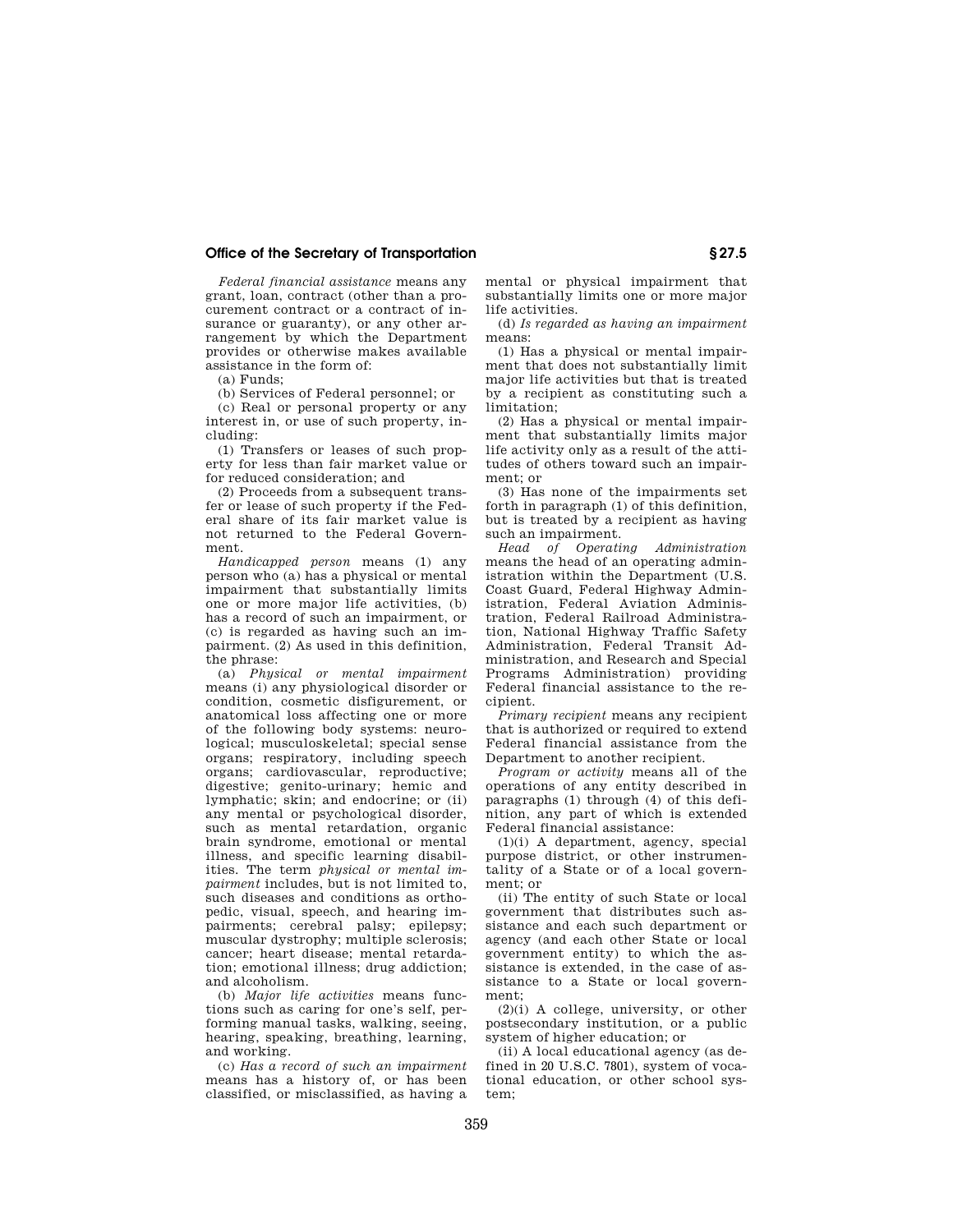*Federal financial assistance* means any grant, loan, contract (other than a procurement contract or a contract of insurance or guaranty), or any other arrangement by which the Department provides or otherwise makes available assistance in the form of:

 $(a)$  Funds;

(b) Services of Federal personnel; or

(c) Real or personal property or any interest in, or use of such property, including:

(1) Transfers or leases of such property for less than fair market value or for reduced consideration; and

(2) Proceeds from a subsequent transfer or lease of such property if the Federal share of its fair market value is not returned to the Federal Government.

*Handicapped person* means (1) any person who (a) has a physical or mental impairment that substantially limits one or more major life activities, (b) has a record of such an impairment, or (c) is regarded as having such an impairment. (2) As used in this definition, the phrase:

(a) *Physical or mental impairment*  means (i) any physiological disorder or condition, cosmetic disfigurement, or anatomical loss affecting one or more of the following body systems: neurological; musculoskeletal; special sense organs; respiratory, including speech organs; cardiovascular, reproductive; digestive; genito-urinary; hemic and lymphatic; skin; and endocrine; or (ii) any mental or psychological disorder, such as mental retardation, organic brain syndrome, emotional or mental illness, and specific learning disabilities. The term *physical or mental impairment* includes, but is not limited to, such diseases and conditions as orthopedic, visual, speech, and hearing impairments; cerebral palsy; epilepsy; muscular dystrophy; multiple sclerosis; cancer; heart disease; mental retardation; emotional illness; drug addiction; and alcoholism.

(b) *Major life activities* means functions such as caring for one's self, performing manual tasks, walking, seeing, hearing, speaking, breathing, learning, and working.

(c) *Has a record of such an impairment*  means has a history of, or has been classified, or misclassified, as having a mental or physical impairment that substantially limits one or more major life activities.

(d) *Is regarded as having an impairment*  means:

(1) Has a physical or mental impairment that does not substantially limit major life activities but that is treated by a recipient as constituting such a limitation;

(2) Has a physical or mental impairment that substantially limits major life activity only as a result of the attitudes of others toward such an impairment; or

(3) Has none of the impairments set forth in paragraph (1) of this definition, but is treated by a recipient as having such an impairment.

*Head of Operating Administration*  means the head of an operating administration within the Department (U.S. Coast Guard, Federal Highway Administration, Federal Aviation Administration, Federal Railroad Administration, National Highway Traffic Safety Administration, Federal Transit Administration, and Research and Special Programs Administration) providing Federal financial assistance to the recipient.

*Primary recipient* means any recipient that is authorized or required to extend Federal financial assistance from the Department to another recipient.

*Program or activity* means all of the operations of any entity described in paragraphs (1) through (4) of this definition, any part of which is extended Federal financial assistance:

(1)(i) A department, agency, special purpose district, or other instrumentality of a State or of a local government; or

(ii) The entity of such State or local government that distributes such assistance and each such department or agency (and each other State or local government entity) to which the assistance is extended, in the case of assistance to a State or local government;

(2)(i) A college, university, or other postsecondary institution, or a public system of higher education; or

(ii) A local educational agency (as defined in 20 U.S.C. 7801), system of vocational education, or other school system;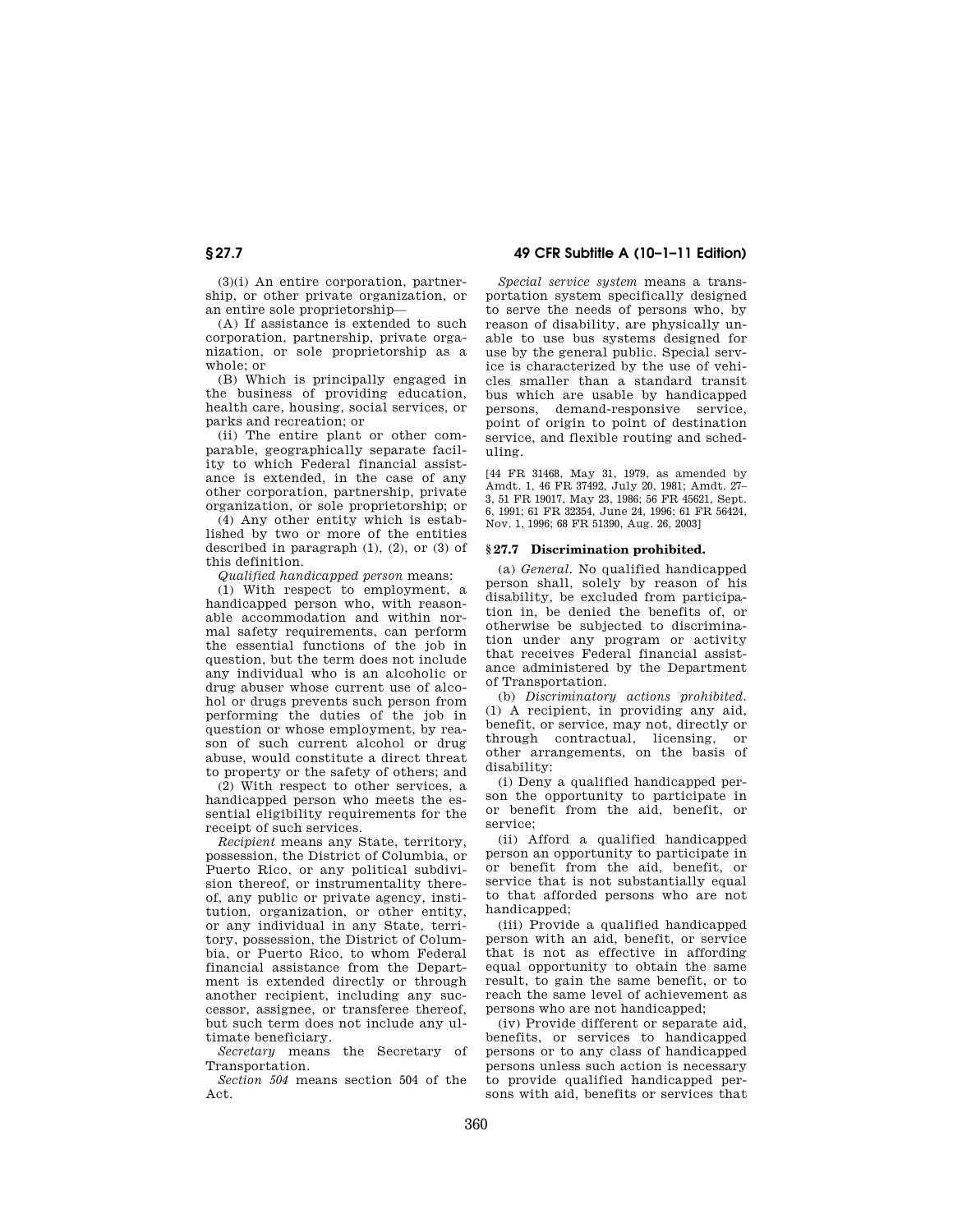(3)(i) An entire corporation, partnership, or other private organization, or an entire sole proprietorship—

(A) If assistance is extended to such corporation, partnership, private organization, or sole proprietorship as a whole; or

(B) Which is principally engaged in the business of providing education, health care, housing, social services, or parks and recreation; or

(ii) The entire plant or other comparable, geographically separate facility to which Federal financial assistance is extended, in the case of any other corporation, partnership, private organization, or sole proprietorship; or

(4) Any other entity which is established by two or more of the entities described in paragraph (1), (2), or (3) of this definition.

*Qualified handicapped person* means:

(1) With respect to employment, a handicapped person who, with reasonable accommodation and within normal safety requirements, can perform the essential functions of the job in question, but the term does not include any individual who is an alcoholic or drug abuser whose current use of alcohol or drugs prevents such person from performing the duties of the job in question or whose employment, by reason of such current alcohol or drug abuse, would constitute a direct threat to property or the safety of others; and

(2) With respect to other services, a handicapped person who meets the essential eligibility requirements for the receipt of such services.

*Recipient* means any State, territory, possession, the District of Columbia, or Puerto Rico, or any political subdivision thereof, or instrumentality thereof, any public or private agency, institution, organization, or other entity, or any individual in any State, territory, possession, the District of Columbia, or Puerto Rico, to whom Federal financial assistance from the Department is extended directly or through another recipient, including any successor, assignee, or transferee thereof, but such term does not include any ultimate beneficiary.

*Secretary* means the Secretary of Transportation.

*Section 504* means section 504 of the Act.

**§ 27.7 49 CFR Subtitle A (10–1–11 Edition)** 

*Special service system* means a transportation system specifically designed to serve the needs of persons who, by reason of disability, are physically unable to use bus systems designed for use by the general public. Special service is characterized by the use of vehicles smaller than a standard transit bus which are usable by handicapped persons, demand-responsive service, point of origin to point of destination service, and flexible routing and scheduling.

[44 FR 31468, May 31, 1979, as amended by Amdt. 1, 46 FR 37492, July 20, 1981; Amdt. 27– 3, 51 FR 19017, May 23, 1986; 56 FR 45621, Sept. 6, 1991; 61 FR 32354, June 24, 1996; 61 FR 56424, Nov. 1, 1996; 68 FR 51390, Aug. 26, 2003]

## **§ 27.7 Discrimination prohibited.**

(a) *General.* No qualified handicapped person shall, solely by reason of his disability, be excluded from participation in, be denied the benefits of, or otherwise be subjected to discrimination under any program or activity that receives Federal financial assistance administered by the Department of Transportation.

(b) *Discriminatory actions prohibited.*  (1) A recipient, in providing any aid, benefit, or service, may not, directly or through contractual, licensing, or other arrangements, on the basis of disability:

(i) Deny a qualified handicapped person the opportunity to participate in or benefit from the aid, benefit, or service;

(ii) Afford a qualified handicapped person an opportunity to participate in or benefit from the aid, benefit, or service that is not substantially equal to that afforded persons who are not handicapped;

(iii) Provide a qualified handicapped person with an aid, benefit, or service that is not as effective in affording equal opportunity to obtain the same result, to gain the same benefit, or to reach the same level of achievement as persons who are not handicapped;

(iv) Provide different or separate aid, benefits, or services to handicapped persons or to any class of handicapped persons unless such action is necessary to provide qualified handicapped persons with aid, benefits or services that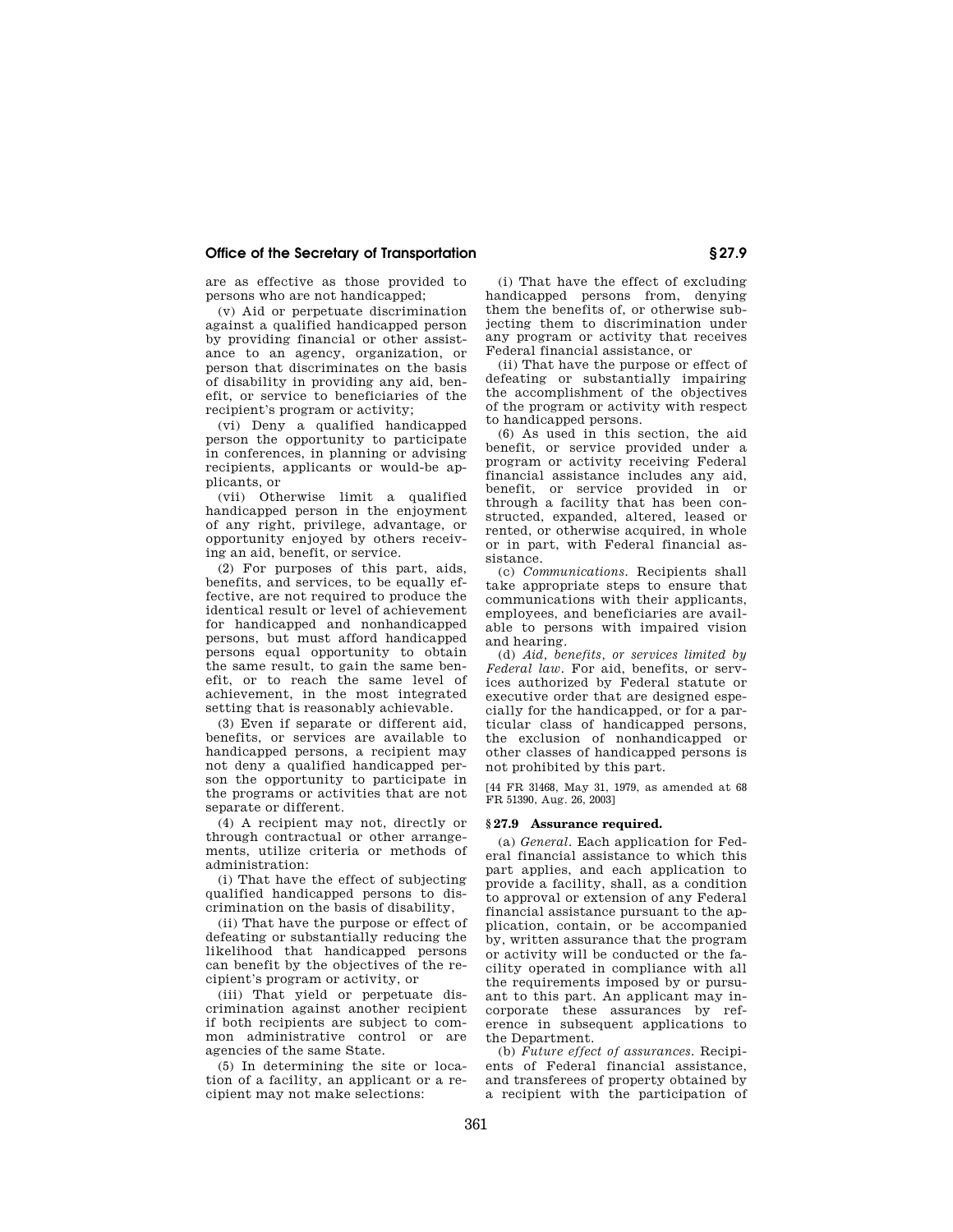are as effective as those provided to persons who are not handicapped;

(v) Aid or perpetuate discrimination against a qualified handicapped person by providing financial or other assistance to an agency, organization, or person that discriminates on the basis of disability in providing any aid, benefit, or service to beneficiaries of the recipient's program or activity;

(vi) Deny a qualified handicapped person the opportunity to participate in conferences, in planning or advising recipients, applicants or would-be applicants, or

(vii) Otherwise limit a qualified handicapped person in the enjoyment of any right, privilege, advantage, or opportunity enjoyed by others receiving an aid, benefit, or service.

(2) For purposes of this part, aids, benefits, and services, to be equally effective, are not required to produce the identical result or level of achievement for handicapped and nonhandicapped persons, but must afford handicapped persons equal opportunity to obtain the same result, to gain the same benefit, or to reach the same level of achievement, in the most integrated setting that is reasonably achievable.

(3) Even if separate or different aid, benefits, or services are available to handicapped persons, a recipient may not deny a qualified handicapped person the opportunity to participate in the programs or activities that are not separate or different.

(4) A recipient may not, directly or through contractual or other arrangements, utilize criteria or methods of administration:

(i) That have the effect of subjecting qualified handicapped persons to discrimination on the basis of disability,

(ii) That have the purpose or effect of defeating or substantially reducing the likelihood that handicapped persons can benefit by the objectives of the recipient's program or activity, or

(iii) That yield or perpetuate discrimination against another recipient if both recipients are subject to common administrative control or are agencies of the same State.

(5) In determining the site or location of a facility, an applicant or a recipient may not make selections:

(i) That have the effect of excluding handicapped persons from, denying them the benefits of, or otherwise subjecting them to discrimination under any program or activity that receives Federal financial assistance, or

(ii) That have the purpose or effect of defeating or substantially impairing the accomplishment of the objectives of the program or activity with respect to handicapped persons.

(6) As used in this section, the aid benefit, or service provided under a program or activity receiving Federal financial assistance includes any aid, benefit, or service provided in or through a facility that has been constructed, expanded, altered, leased or rented, or otherwise acquired, in whole or in part, with Federal financial assistance.

(c) *Communications.* Recipients shall take appropriate steps to ensure that communications with their applicants, employees, and beneficiaries are available to persons with impaired vision and hearing.

(d) *Aid, benefits, or services limited by Federal law.* For aid, benefits, or services authorized by Federal statute or executive order that are designed especially for the handicapped, or for a particular class of handicapped persons, the exclusion of nonhandicapped or other classes of handicapped persons is not prohibited by this part.

[44 FR 3l468, May 31, 1979, as amended at 68 FR 51390, Aug. 26, 2003]

## **§ 27.9 Assurance required.**

(a) *General.* Each application for Federal financial assistance to which this part applies, and each application to provide a facility, shall, as a condition to approval or extension of any Federal financial assistance pursuant to the application, contain, or be accompanied by, written assurance that the program or activity will be conducted or the facility operated in compliance with all the requirements imposed by or pursuant to this part. An applicant may incorporate these assurances by reference in subsequent applications to the Department.

(b) *Future effect of assurances.* Recipients of Federal financial assistance, and transferees of property obtained by a recipient with the participation of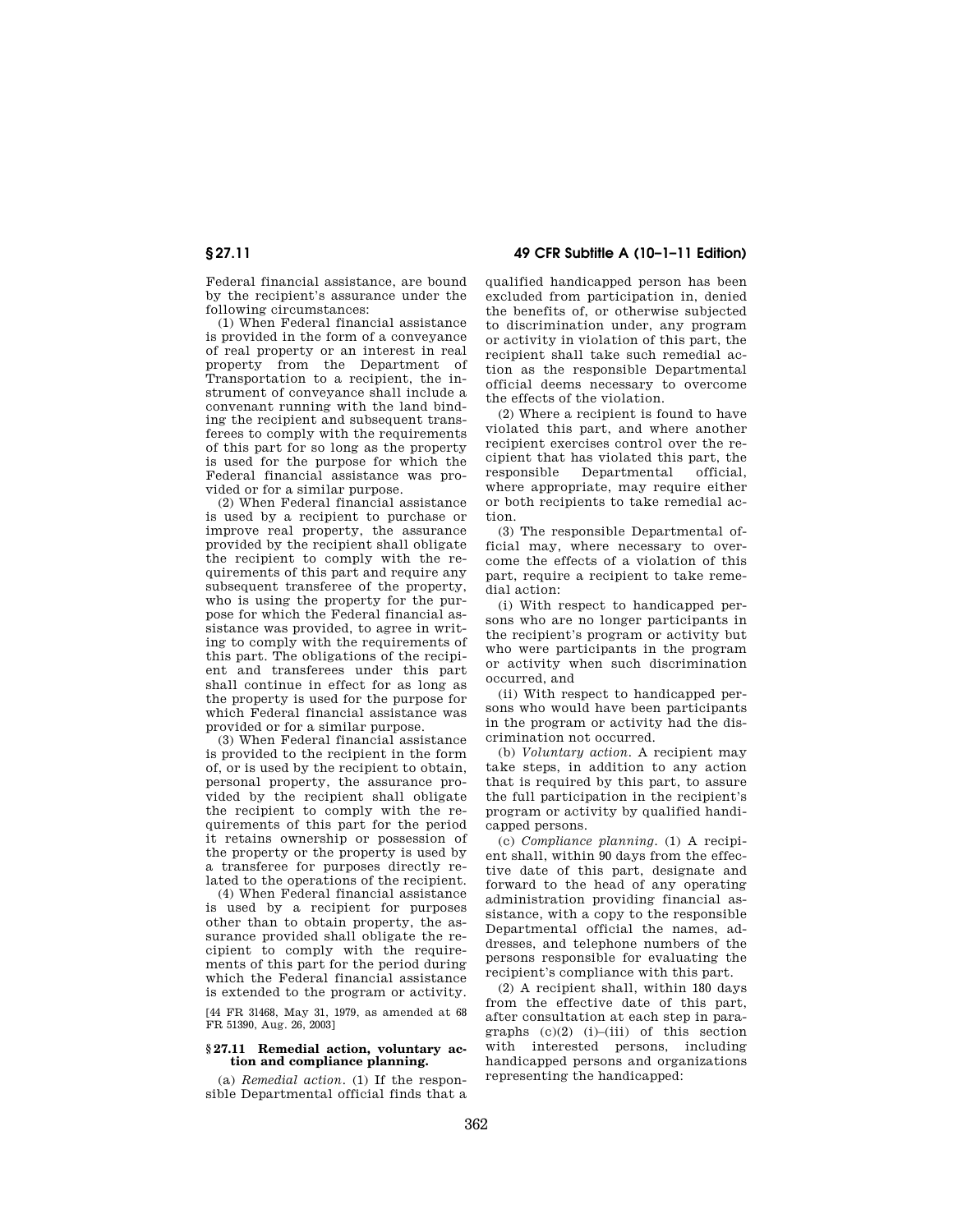Federal financial assistance, are bound by the recipient's assurance under the following circumstances:

(1) When Federal financial assistance is provided in the form of a conveyance of real property or an interest in real property from the Department of Transportation to a recipient, the instrument of conveyance shall include a convenant running with the land binding the recipient and subsequent transferees to comply with the requirements of this part for so long as the property is used for the purpose for which the Federal financial assistance was provided or for a similar purpose.

(2) When Federal financial assistance is used by a recipient to purchase or improve real property, the assurance provided by the recipient shall obligate the recipient to comply with the requirements of this part and require any subsequent transferee of the property, who is using the property for the purpose for which the Federal financial assistance was provided, to agree in writing to comply with the requirements of this part. The obligations of the recipient and transferees under this part shall continue in effect for as long as the property is used for the purpose for which Federal financial assistance was provided or for a similar purpose.

(3) When Federal financial assistance is provided to the recipient in the form of, or is used by the recipient to obtain, personal property, the assurance provided by the recipient shall obligate the recipient to comply with the requirements of this part for the period it retains ownership or possession of the property or the property is used by a transferee for purposes directly related to the operations of the recipient.

(4) When Federal financial assistance is used by a recipient for purposes other than to obtain property, the assurance provided shall obligate the recipient to comply with the requirements of this part for the period during which the Federal financial assistance is extended to the program or activity.

[44 FR 3l468, May 31, 1979, as amended at 68 FR 51390, Aug. 26, 2003]

## **§ 27.11 Remedial action, voluntary action and compliance planning.**

(a) *Remedial action.* (1) If the responsible Departmental official finds that a

**§ 27.11 49 CFR Subtitle A (10–1–11 Edition)** 

qualified handicapped person has been excluded from participation in, denied the benefits of, or otherwise subjected to discrimination under, any program or activity in violation of this part, the recipient shall take such remedial action as the responsible Departmental official deems necessary to overcome the effects of the violation.

(2) Where a recipient is found to have violated this part, and where another recipient exercises control over the recipient that has violated this part, the responsible Departmental official, where appropriate, may require either or both recipients to take remedial action.

(3) The responsible Departmental official may, where necessary to overcome the effects of a violation of this part, require a recipient to take remedial action:

(i) With respect to handicapped persons who are no longer participants in the recipient's program or activity but who were participants in the program or activity when such discrimination occurred, and

(ii) With respect to handicapped persons who would have been participants in the program or activity had the discrimination not occurred.

(b) *Voluntary action.* A recipient may take steps, in addition to any action that is required by this part, to assure the full participation in the recipient's program or activity by qualified handicapped persons.

(c) *Compliance planning.* (1) A recipient shall, within 90 days from the effective date of this part, designate and forward to the head of any operating administration providing financial assistance, with a copy to the responsible Departmental official the names, addresses, and telephone numbers of the persons responsible for evaluating the recipient's compliance with this part.

(2) A recipient shall, within 180 days from the effective date of this part, after consultation at each step in paragraphs  $(c)(2)$  (i)–(iii) of this section with interested persons, including handicapped persons and organizations representing the handicapped: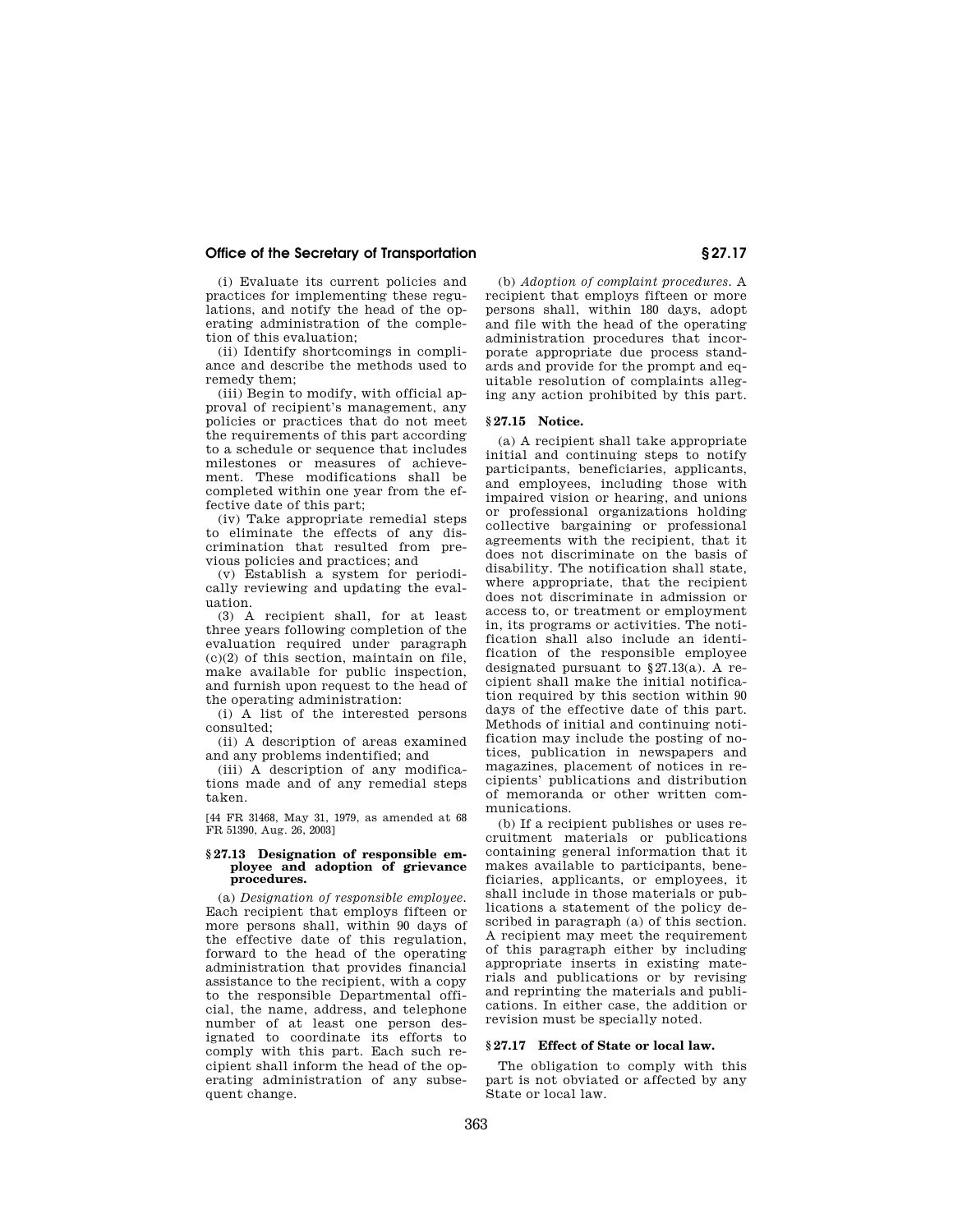(i) Evaluate its current policies and practices for implementing these regulations, and notify the head of the operating administration of the completion of this evaluation;

(ii) Identify shortcomings in compliance and describe the methods used to remedy them;

(iii) Begin to modify, with official approval of recipient's management, any policies or practices that do not meet the requirements of this part according to a schedule or sequence that includes milestones or measures of achievement. These modifications shall be completed within one year from the effective date of this part;

(iv) Take appropriate remedial steps to eliminate the effects of any discrimination that resulted from previous policies and practices; and

(v) Establish a system for periodically reviewing and updating the evaluation.

(3) A recipient shall, for at least three years following completion of the evaluation required under paragraph  $(c)(2)$  of this section, maintain on file, make available for public inspection, and furnish upon request to the head of the operating administration:

(i) A list of the interested persons consulted;

(ii) A description of areas examined and any problems indentified; and

(iii) A description of any modifications made and of any remedial steps taken.

[44 FR 3l468, May 31, 1979, as amended at 68 FR 51390, Aug. 26, 2003]

#### **§ 27.13 Designation of responsible employee and adoption of grievance procedures.**

(a) *Designation of responsible employee.*  Each recipient that employs fifteen or more persons shall, within 90 days of the effective date of this regulation, forward to the head of the operating administration that provides financial assistance to the recipient, with a copy to the responsible Departmental official, the name, address, and telephone number of at least one person designated to coordinate its efforts to comply with this part. Each such recipient shall inform the head of the operating administration of any subsequent change.

(b) *Adoption of complaint procedures.* A recipient that employs fifteen or more persons shall, within 180 days, adopt and file with the head of the operating administration procedures that incorporate appropriate due process standards and provide for the prompt and equitable resolution of complaints alleging any action prohibited by this part.

#### **§ 27.15 Notice.**

(a) A recipient shall take appropriate initial and continuing steps to notify participants, beneficiaries, applicants, and employees, including those with impaired vision or hearing, and unions or professional organizations holding collective bargaining or professional agreements with the recipient, that it does not discriminate on the basis of disability. The notification shall state, where appropriate, that the recipient does not discriminate in admission or access to, or treatment or employment in, its programs or activities. The notification shall also include an identification of the responsible employee designated pursuant to §27.13(a). A recipient shall make the initial notification required by this section within 90 days of the effective date of this part. Methods of initial and continuing notification may include the posting of notices, publication in newspapers and magazines, placement of notices in recipients' publications and distribution of memoranda or other written communications.

(b) If a recipient publishes or uses recruitment materials or publications containing general information that it makes available to participants, beneficiaries, applicants, or employees, it shall include in those materials or publications a statement of the policy described in paragraph (a) of this section. A recipient may meet the requirement of this paragraph either by including appropriate inserts in existing materials and publications or by revising and reprinting the materials and publications. In either case, the addition or revision must be specially noted.

#### **§ 27.17 Effect of State or local law.**

The obligation to comply with this part is not obviated or affected by any State or local law.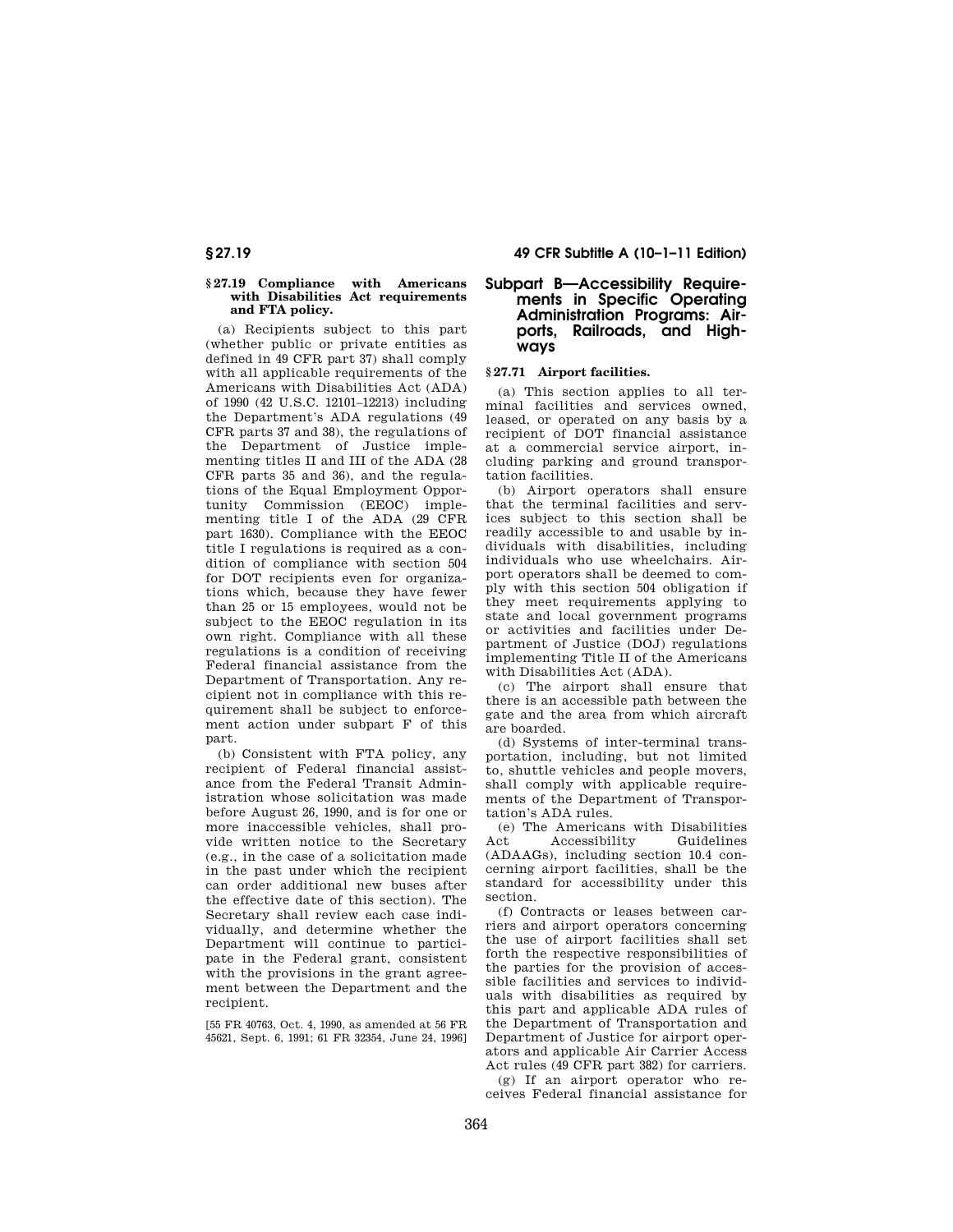## **§ 27.19 Compliance with Americans with Disabilities Act requirements and FTA policy.**

(a) Recipients subject to this part (whether public or private entities as defined in 49 CFR part 37) shall comply with all applicable requirements of the Americans with Disabilities Act (ADA) of 1990 (42 U.S.C. 12101–12213) including the Department's ADA regulations (49 CFR parts 37 and 38), the regulations of the Department of Justice implementing titles II and III of the ADA (28 CFR parts 35 and 36), and the regulations of the Equal Employment Opportunity Commission (EEOC) implementing title I of the ADA (29 CFR part 1630). Compliance with the EEOC title I regulations is required as a condition of compliance with section 504 for DOT recipients even for organizations which, because they have fewer than 25 or 15 employees, would not be subject to the EEOC regulation in its own right. Compliance with all these regulations is a condition of receiving Federal financial assistance from the Department of Transportation. Any recipient not in compliance with this requirement shall be subject to enforcement action under subpart F of this part.

(b) Consistent with FTA policy, any recipient of Federal financial assistance from the Federal Transit Administration whose solicitation was made before August 26, 1990, and is for one or more inaccessible vehicles, shall provide written notice to the Secretary (e.g., in the case of a solicitation made in the past under which the recipient can order additional new buses after the effective date of this section). The Secretary shall review each case individually, and determine whether the Department will continue to participate in the Federal grant, consistent with the provisions in the grant agreement between the Department and the recipient.

[55 FR 40763, Oct. 4, 1990, as amended at 56 FR 45621, Sept. 6, 1991; 61 FR 32354, June 24, 1996]

## **§ 27.19 49 CFR Subtitle A (10–1–11 Edition)**

# **Subpart B—Accessibility Requirements in Specific Operating Administration Programs: Airports, Railroads, and Highways**

## **§ 27.71 Airport facilities.**

(a) This section applies to all terminal facilities and services owned, leased, or operated on any basis by a recipient of DOT financial assistance at a commercial service airport, including parking and ground transportation facilities.

(b) Airport operators shall ensure that the terminal facilities and services subject to this section shall be readily accessible to and usable by individuals with disabilities, including individuals who use wheelchairs. Airport operators shall be deemed to comply with this section 504 obligation if they meet requirements applying to state and local government programs or activities and facilities under Department of Justice (DOJ) regulations implementing Title II of the Americans with Disabilities Act (ADA).

(c) The airport shall ensure that there is an accessible path between the gate and the area from which aircraft are boarded.

(d) Systems of inter-terminal transportation, including, but not limited to, shuttle vehicles and people movers, shall comply with applicable requirements of the Department of Transportation's ADA rules.

(e) The Americans with Disabilities Act Accessibility Guidelines (ADAAGs), including section 10.4 concerning airport facilities, shall be the standard for accessibility under this section.

(f) Contracts or leases between carriers and airport operators concerning the use of airport facilities shall set forth the respective responsibilities of the parties for the provision of accessible facilities and services to individuals with disabilities as required by this part and applicable ADA rules of the Department of Transportation and Department of Justice for airport operators and applicable Air Carrier Access Act rules (49 CFR part 382) for carriers. (g) If an airport operator who receives Federal financial assistance for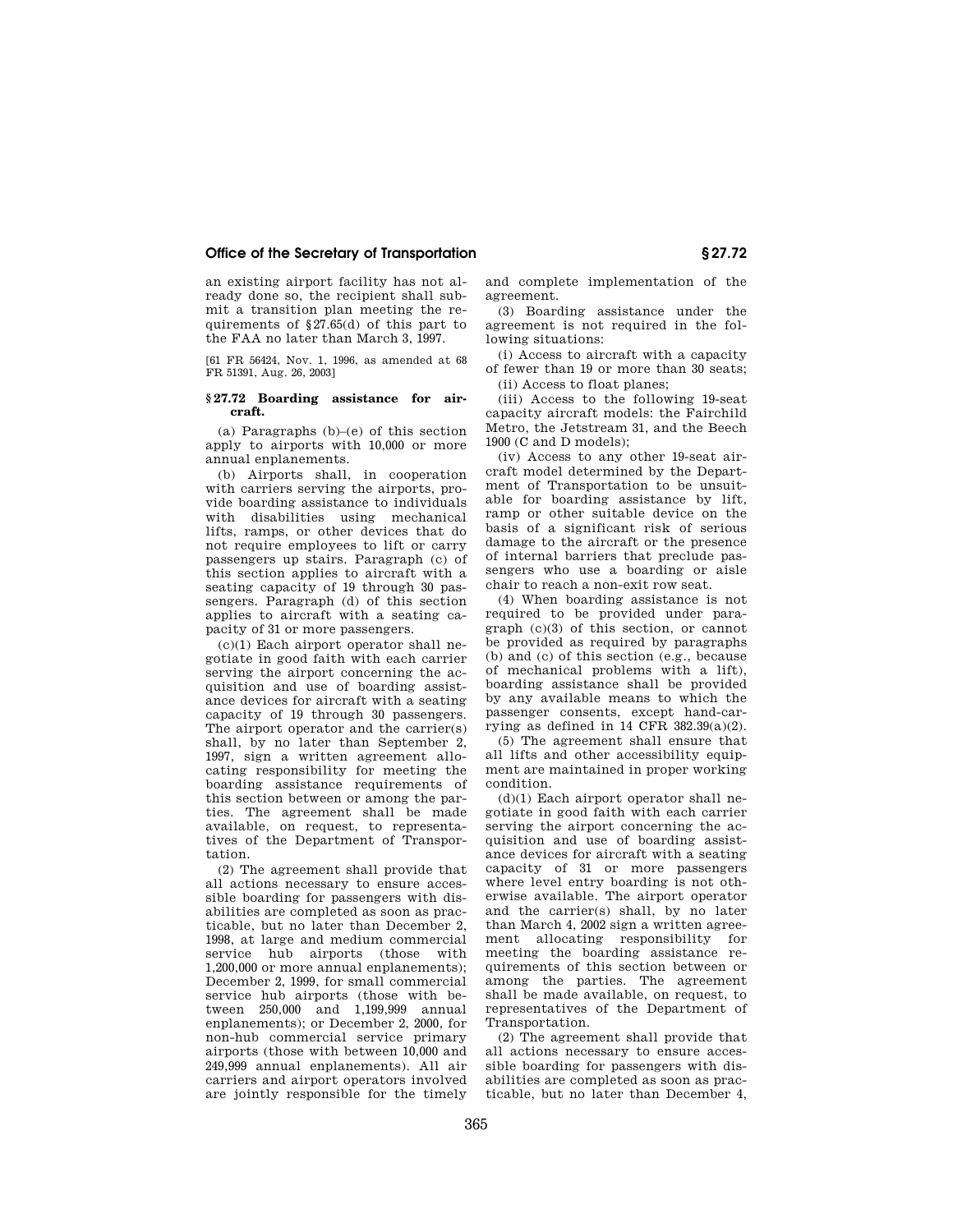an existing airport facility has not already done so, the recipient shall submit a transition plan meeting the requirements of §27.65(d) of this part to the FAA no later than March 3, 1997.

[61 FR 56424, Nov. 1, 1996, as amended at 68 FR 51391, Aug. 26, 2003]

## **§ 27.72 Boarding assistance for aircraft.**

(a) Paragraphs (b)–(e) of this section apply to airports with 10,000 or more annual enplanements.

(b) Airports shall, in cooperation with carriers serving the airports, provide boarding assistance to individuals with disabilities using mechanical lifts, ramps, or other devices that do not require employees to lift or carry passengers up stairs. Paragraph (c) of this section applies to aircraft with a seating capacity of 19 through 30 passengers. Paragraph (d) of this section applies to aircraft with a seating capacity of 31 or more passengers.

 $(c)(1)$  Each airport operator shall negotiate in good faith with each carrier serving the airport concerning the acquisition and use of boarding assistance devices for aircraft with a seating capacity of 19 through 30 passengers. The airport operator and the carrier(s) shall, by no later than September 2, 1997, sign a written agreement allocating responsibility for meeting the boarding assistance requirements of this section between or among the parties. The agreement shall be made available, on request, to representatives of the Department of Transportation.

(2) The agreement shall provide that all actions necessary to ensure accessible boarding for passengers with disabilities are completed as soon as practicable, but no later than December 2, 1998, at large and medium commercial service hub airports (those with 1,200,000 or more annual enplanements); December 2, 1999, for small commercial service hub airports (those with between 250,000 and 1,199,999 annual enplanements); or December 2, 2000, for non-hub commercial service primary airports (those with between 10,000 and 249,999 annual enplanements). All air carriers and airport operators involved are jointly responsible for the timely

and complete implementation of the agreement.

(3) Boarding assistance under the agreement is not required in the following situations:

(i) Access to aircraft with a capacity of fewer than 19 or more than 30 seats;

(ii) Access to float planes;

(iii) Access to the following 19-seat capacity aircraft models: the Fairchild Metro, the Jetstream 31, and the Beech 1900 (C and D models);

(iv) Access to any other 19-seat aircraft model determined by the Department of Transportation to be unsuitable for boarding assistance by lift, ramp or other suitable device on the basis of a significant risk of serious damage to the aircraft or the presence of internal barriers that preclude passengers who use a boarding or aisle chair to reach a non-exit row seat.

(4) When boarding assistance is not required to be provided under paragraph (c)(3) of this section, or cannot be provided as required by paragraphs (b) and (c) of this section (e.g., because of mechanical problems with a lift), boarding assistance shall be provided by any available means to which the passenger consents, except hand-carrying as defined in 14 CFR 382.39(a)(2).

(5) The agreement shall ensure that all lifts and other accessibility equipment are maintained in proper working condition.

(d)(1) Each airport operator shall negotiate in good faith with each carrier serving the airport concerning the acquisition and use of boarding assistance devices for aircraft with a seating capacity of 31 or more passengers where level entry boarding is not otherwise available. The airport operator and the carrier(s) shall, by no later than March 4, 2002 sign a written agreement allocating responsibility for meeting the boarding assistance requirements of this section between or among the parties. The agreement shall be made available, on request, to representatives of the Department of Transportation.

(2) The agreement shall provide that all actions necessary to ensure accessible boarding for passengers with disabilities are completed as soon as practicable, but no later than December 4,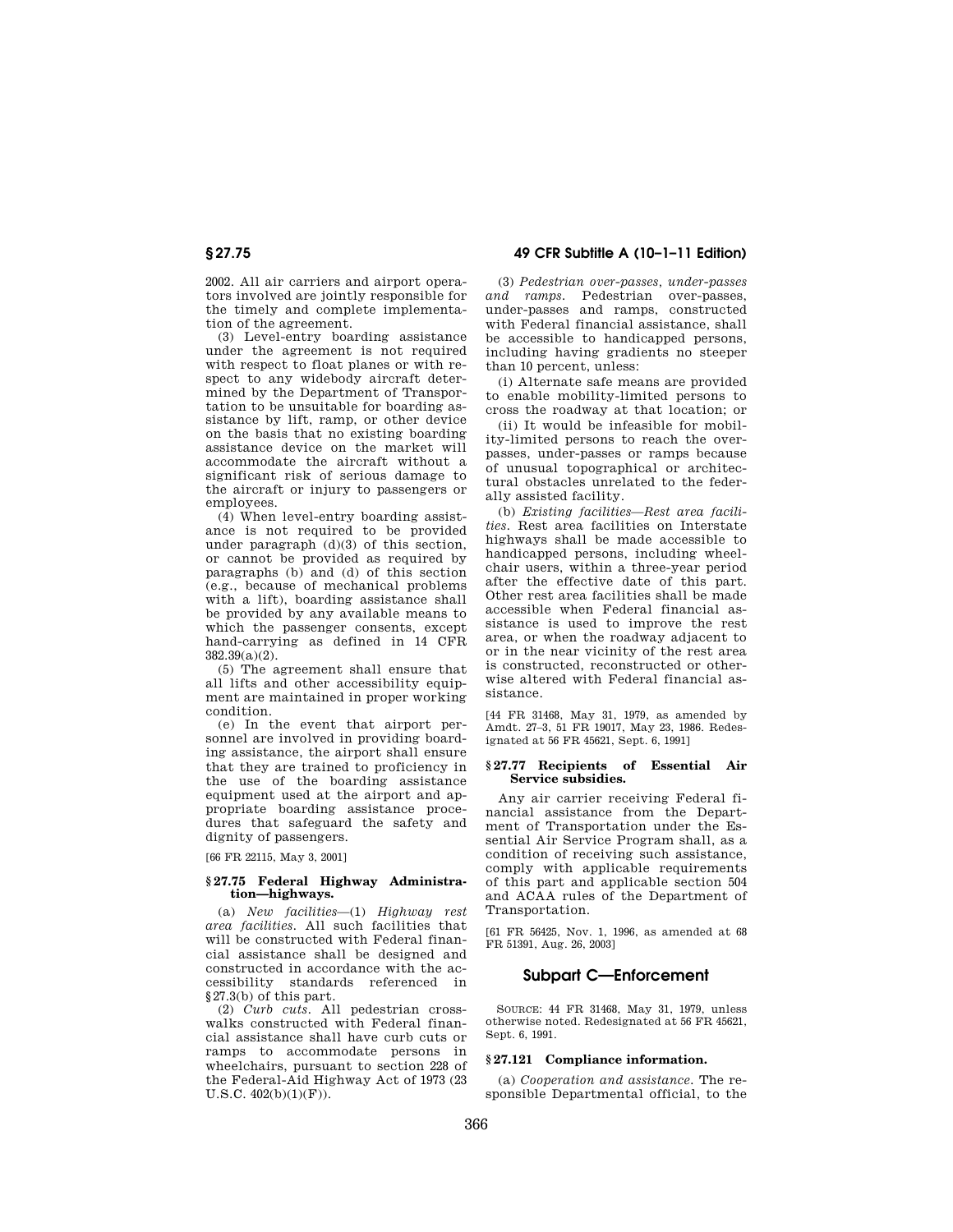2002. All air carriers and airport operators involved are jointly responsible for the timely and complete implementation of the agreement.

(3) Level-entry boarding assistance under the agreement is not required with respect to float planes or with respect to any widebody aircraft determined by the Department of Transportation to be unsuitable for boarding assistance by lift, ramp, or other device on the basis that no existing boarding assistance device on the market will accommodate the aircraft without a significant risk of serious damage to the aircraft or injury to passengers or employees.

(4) When level-entry boarding assistance is not required to be provided under paragraph (d)(3) of this section, or cannot be provided as required by paragraphs (b) and (d) of this section (e.g., because of mechanical problems with a lift), boarding assistance shall be provided by any available means to which the passenger consents, except hand-carrying as defined in 14 CFR 382.39(a)(2).

(5) The agreement shall ensure that all lifts and other accessibility equipment are maintained in proper working condition.

(e) In the event that airport personnel are involved in providing boarding assistance, the airport shall ensure that they are trained to proficiency in the use of the boarding assistance equipment used at the airport and appropriate boarding assistance procedures that safeguard the safety and dignity of passengers.

[66 FR 22115, May 3, 2001]

## **§ 27.75 Federal Highway Administration—highways.**

(a) *New facilities*—(1) *Highway rest area facilities.* All such facilities that will be constructed with Federal financial assistance shall be designed and constructed in accordance with the accessibility standards referenced in §27.3(b) of this part.

(2) *Curb cuts.* All pedestrian crosswalks constructed with Federal financial assistance shall have curb cuts or ramps to accommodate persons in wheelchairs, pursuant to section 228 of the Federal-Aid Highway Act of 1973 (23 U.S.C.  $402(b)(1)(F)$ .

# **§ 27.75 49 CFR Subtitle A (10–1–11 Edition)**

(3) *Pedestrian over-passes, under-passes and ramps.* Pedestrian over-passes, under-passes and ramps, constructed with Federal financial assistance, shall be accessible to handicapped persons, including having gradients no steeper than 10 percent, unless:

(i) Alternate safe means are provided to enable mobility-limited persons to cross the roadway at that location; or

(ii) It would be infeasible for mobility-limited persons to reach the overpasses, under-passes or ramps because of unusual topographical or architectural obstacles unrelated to the federally assisted facility.

(b) *Existing facilities—Rest area facilities.* Rest area facilities on Interstate highways shall be made accessible to handicapped persons, including wheelchair users, within a three-year period after the effective date of this part. Other rest area facilities shall be made accessible when Federal financial assistance is used to improve the rest area, or when the roadway adjacent to or in the near vicinity of the rest area is constructed, reconstructed or otherwise altered with Federal financial assistance.

[44 FR 31468, May 31, 1979, as amended by Amdt. 27–3, 51 FR 19017, May 23, 1986. Redesignated at 56 FR 45621, Sept. 6, 1991]

## **§ 27.77 Recipients of Essential Air Service subsidies.**

Any air carrier receiving Federal financial assistance from the Department of Transportation under the Essential Air Service Program shall, as a condition of receiving such assistance, comply with applicable requirements of this part and applicable section 504 and ACAA rules of the Department of Transportation.

[61 FR 56425, Nov. 1, 1996, as amended at 68 FR 51391, Aug. 26, 2003]

# **Subpart C—Enforcement**

SOURCE: 44 FR 31468, May 31, 1979, unless otherwise noted. Redesignated at 56 FR 45621, Sept. 6, 1991.

## **§ 27.121 Compliance information.**

(a) *Cooperation and assistance.* The responsible Departmental official, to the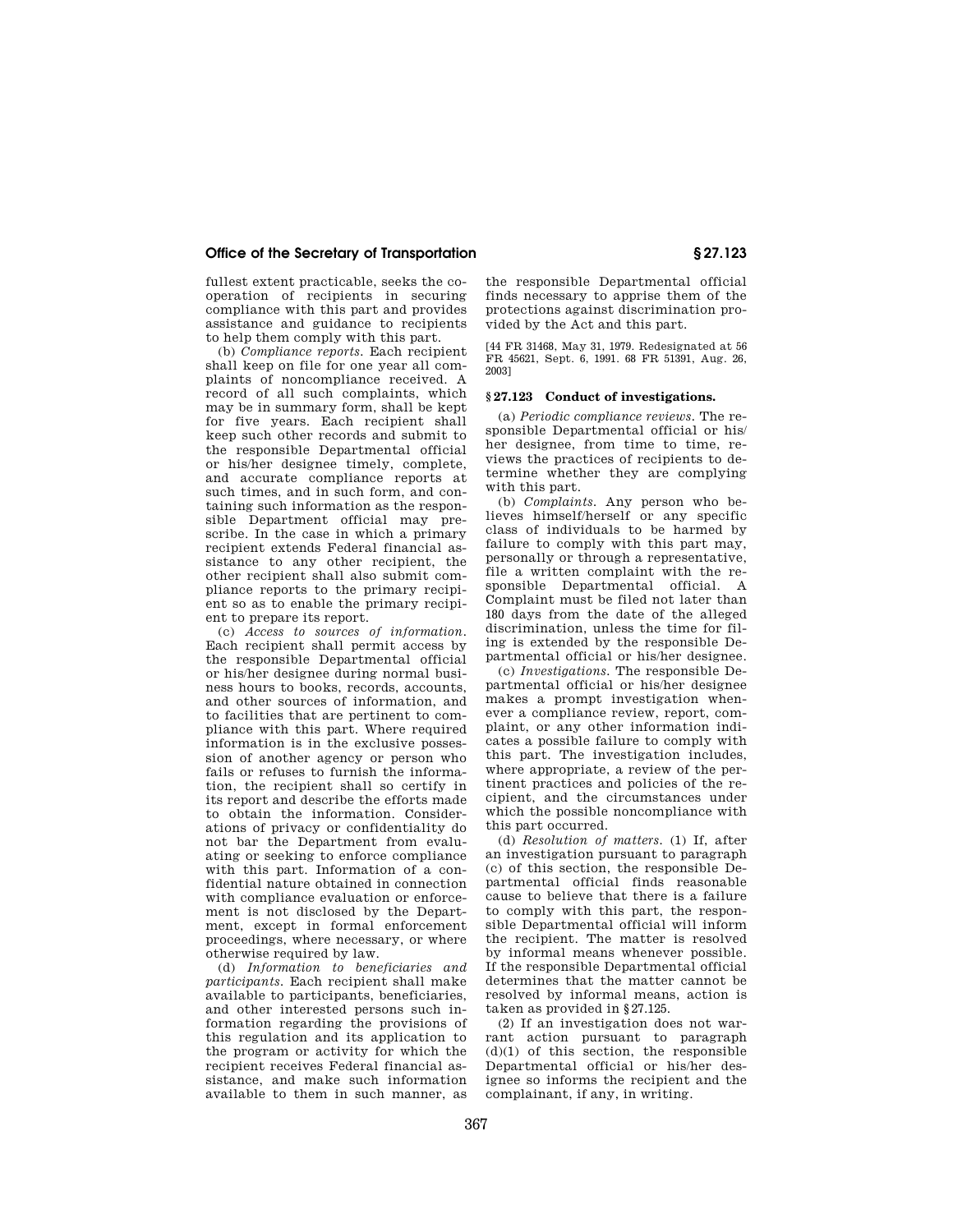fullest extent practicable, seeks the cooperation of recipients in securing compliance with this part and provides assistance and guidance to recipients to help them comply with this part.

(b) *Compliance reports.* Each recipient shall keep on file for one year all complaints of noncompliance received. A record of all such complaints, which may be in summary form, shall be kept for five years. Each recipient shall keep such other records and submit to the responsible Departmental official or his/her designee timely, complete, and accurate compliance reports at such times, and in such form, and containing such information as the responsible Department official may prescribe. In the case in which a primary recipient extends Federal financial assistance to any other recipient, the other recipient shall also submit compliance reports to the primary recipient so as to enable the primary recipient to prepare its report.

(c) *Access to sources of information.*  Each recipient shall permit access by the responsible Departmental official or his/her designee during normal business hours to books, records, accounts, and other sources of information, and to facilities that are pertinent to compliance with this part. Where required information is in the exclusive possession of another agency or person who fails or refuses to furnish the information, the recipient shall so certify in its report and describe the efforts made to obtain the information. Considerations of privacy or confidentiality do not bar the Department from evaluating or seeking to enforce compliance with this part. Information of a confidential nature obtained in connection with compliance evaluation or enforcement is not disclosed by the Department, except in formal enforcement proceedings, where necessary, or where otherwise required by law.

(d) *Information to beneficiaries and participants.* Each recipient shall make available to participants, beneficiaries, and other interested persons such information regarding the provisions of this regulation and its application to the program or activity for which the recipient receives Federal financial assistance, and make such information available to them in such manner, as

the responsible Departmental official finds necessary to apprise them of the protections against discrimination provided by the Act and this part.

[44 FR 31468, May 31, 1979. Redesignated at 56 FR 45621, Sept. 6, 1991. 68 FR 51391, Aug. 26, 2003]

#### **§ 27.123 Conduct of investigations.**

(a) *Periodic compliance reviews.* The responsible Departmental official or his/ her designee, from time to time, reviews the practices of recipients to determine whether they are complying with this part.

(b) *Complaints.* Any person who believes himself/herself or any specific class of individuals to be harmed by failure to comply with this part may, personally or through a representative, file a written complaint with the responsible Departmental official. A Complaint must be filed not later than 180 days from the date of the alleged discrimination, unless the time for filing is extended by the responsible Departmental official or his/her designee.

(c) *Investigations.* The responsible Departmental official or his/her designee makes a prompt investigation whenever a compliance review, report, complaint, or any other information indicates a possible failure to comply with this part. The investigation includes, where appropriate, a review of the pertinent practices and policies of the recipient, and the circumstances under which the possible noncompliance with this part occurred.

(d) *Resolution of matters.* (1) If, after an investigation pursuant to paragraph (c) of this section, the responsible Departmental official finds reasonable cause to believe that there is a failure to comply with this part, the responsible Departmental official will inform the recipient. The matter is resolved by informal means whenever possible. If the responsible Departmental official determines that the matter cannot be resolved by informal means, action is taken as provided in §27.125.

(2) If an investigation does not warrant action pursuant to paragraph  $(d)(1)$  of this section, the responsible Departmental official or his/her designee so informs the recipient and the complainant, if any, in writing.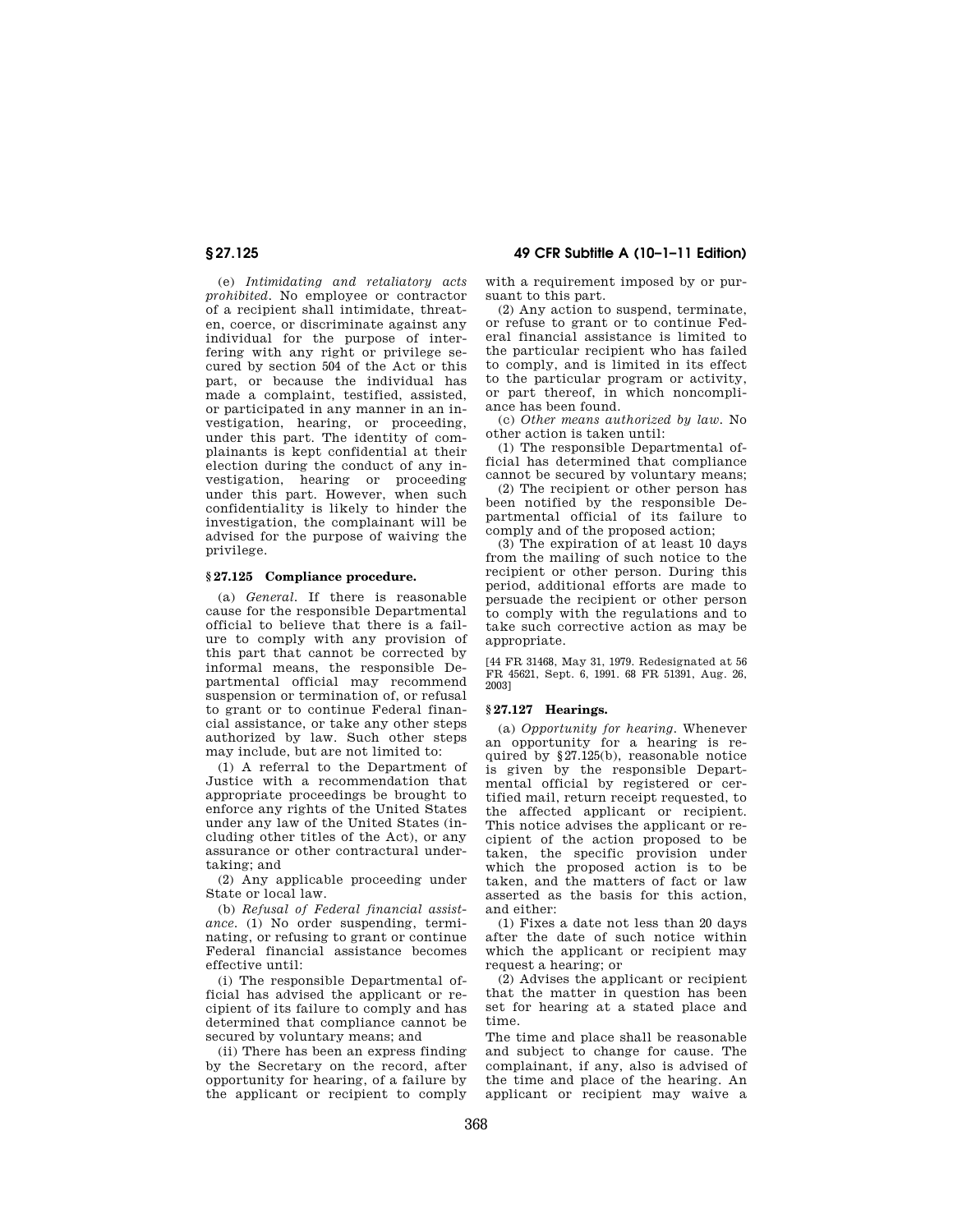(e) *Intimidating and retaliatory acts prohibited.* No employee or contractor of a recipient shall intimidate, threaten, coerce, or discriminate against any individual for the purpose of interfering with any right or privilege secured by section 504 of the Act or this part, or because the individual has made a complaint, testified, assisted, or participated in any manner in an investigation, hearing, or proceeding, under this part. The identity of complainants is kept confidential at their election during the conduct of any investigation, hearing or proceeding under this part. However, when such confidentiality is likely to hinder the investigation, the complainant will be advised for the purpose of waiving the privilege.

#### **§ 27.125 Compliance procedure.**

(a) *General.* If there is reasonable cause for the responsible Departmental official to believe that there is a failure to comply with any provision of this part that cannot be corrected by informal means, the responsible Departmental official may recommend suspension or termination of, or refusal to grant or to continue Federal financial assistance, or take any other steps authorized by law. Such other steps may include, but are not limited to:

(1) A referral to the Department of Justice with a recommendation that appropriate proceedings be brought to enforce any rights of the United States under any law of the United States (including other titles of the Act), or any assurance or other contractural undertaking; and

(2) Any applicable proceeding under State or local law.

(b) *Refusal of Federal financial assistance.* (1) No order suspending, terminating, or refusing to grant or continue Federal financial assistance becomes effective until:

(i) The responsible Departmental official has advised the applicant or recipient of its failure to comply and has determined that compliance cannot be secured by voluntary means; and

(ii) There has been an express finding by the Secretary on the record, after opportunity for hearing, of a failure by the applicant or recipient to comply

**§ 27.125 49 CFR Subtitle A (10–1–11 Edition)** 

with a requirement imposed by or pursuant to this part.

(2) Any action to suspend, terminate, or refuse to grant or to continue Federal financial assistance is limited to the particular recipient who has failed to comply, and is limited in its effect to the particular program or activity, or part thereof, in which noncompliance has been found.

(c) *Other means authorized by law.* No other action is taken until:

(1) The responsible Departmental official has determined that compliance cannot be secured by voluntary means;

(2) The recipient or other person has been notified by the responsible Departmental official of its failure to comply and of the proposed action;

(3) The expiration of at least 10 days from the mailing of such notice to the recipient or other person. During this period, additional efforts are made to persuade the recipient or other person to comply with the regulations and to take such corrective action as may be appropriate.

[44 FR 31468, May 31, 1979. Redesignated at 56 FR 45621, Sept. 6, 1991. 68 FR 51391, Aug. 26, 2003]

## **§ 27.127 Hearings.**

(a) *Opportunity for hearing.* Whenever an opportunity for a hearing is required by §27.125(b), reasonable notice is given by the responsible Departmental official by registered or certified mail, return receipt requested, to the affected applicant or recipient. This notice advises the applicant or recipient of the action proposed to be taken, the specific provision under which the proposed action is to be taken, and the matters of fact or law asserted as the basis for this action, and either:

(1) Fixes a date not less than 20 days after the date of such notice within which the applicant or recipient may request a hearing; or

(2) Advises the applicant or recipient that the matter in question has been set for hearing at a stated place and time.

The time and place shall be reasonable and subject to change for cause. The complainant, if any, also is advised of the time and place of the hearing. An applicant or recipient may waive a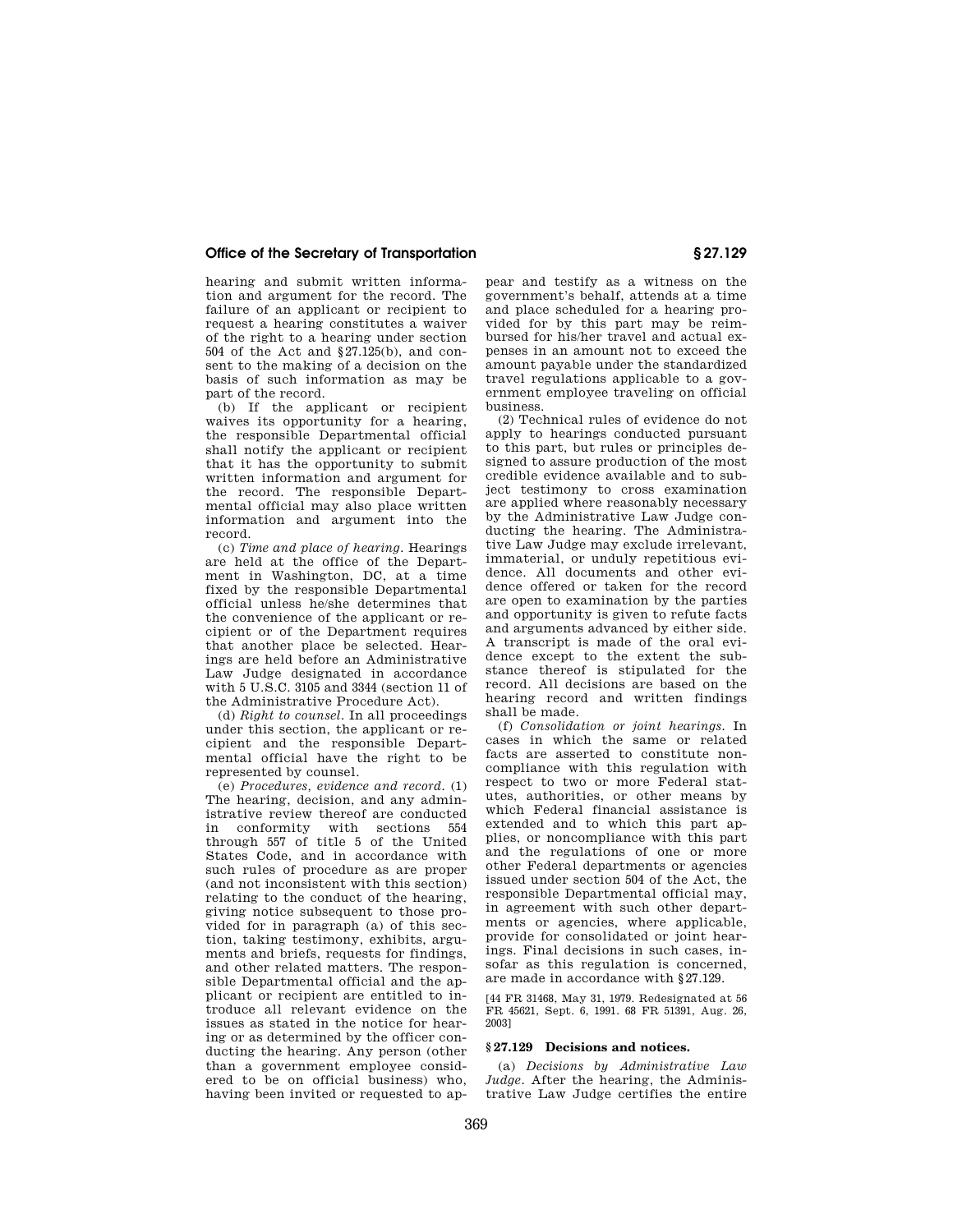hearing and submit written information and argument for the record. The failure of an applicant or recipient to request a hearing constitutes a waiver of the right to a hearing under section 504 of the Act and §27.125(b), and consent to the making of a decision on the basis of such information as may be part of the record.

(b) If the applicant or recipient waives its opportunity for a hearing, the responsible Departmental official shall notify the applicant or recipient that it has the opportunity to submit written information and argument for the record. The responsible Departmental official may also place written information and argument into the record.

(c) *Time and place of hearing.* Hearings are held at the office of the Department in Washington, DC, at a time fixed by the responsible Departmental official unless he/she determines that the convenience of the applicant or recipient or of the Department requires that another place be selected. Hearings are held before an Administrative Law Judge designated in accordance with 5 U.S.C. 3105 and 3344 (section 11 of the Administrative Procedure Act).

(d) *Right to counsel.* In all proceedings under this section, the applicant or recipient and the responsible Departmental official have the right to be represented by counsel.

(e) *Procedures, evidence and record.* (1) The hearing, decision, and any administrative review thereof are conducted in conformity with sections 554 through 557 of title 5 of the United States Code, and in accordance with such rules of procedure as are proper (and not inconsistent with this section) relating to the conduct of the hearing, giving notice subsequent to those provided for in paragraph (a) of this section, taking testimony, exhibits, arguments and briefs, requests for findings, and other related matters. The responsible Departmental official and the applicant or recipient are entitled to introduce all relevant evidence on the issues as stated in the notice for hearing or as determined by the officer conducting the hearing. Any person (other than a government employee considered to be on official business) who, having been invited or requested to ap-

pear and testify as a witness on the government's behalf, attends at a time and place scheduled for a hearing provided for by this part may be reimbursed for his/her travel and actual expenses in an amount not to exceed the amount payable under the standardized travel regulations applicable to a government employee traveling on official business.

(2) Technical rules of evidence do not apply to hearings conducted pursuant to this part, but rules or principles designed to assure production of the most credible evidence available and to subject testimony to cross examination are applied where reasonably necessary by the Administrative Law Judge conducting the hearing. The Administrative Law Judge may exclude irrelevant, immaterial, or unduly repetitious evidence. All documents and other evidence offered or taken for the record are open to examination by the parties and opportunity is given to refute facts and arguments advanced by either side. A transcript is made of the oral evidence except to the extent the substance thereof is stipulated for the record. All decisions are based on the hearing record and written findings shall be made.

(f) *Consolidation or joint hearings.* In cases in which the same or related facts are asserted to constitute noncompliance with this regulation with respect to two or more Federal statutes, authorities, or other means by which Federal financial assistance is extended and to which this part applies, or noncompliance with this part and the regulations of one or more other Federal departments or agencies issued under section 504 of the Act, the responsible Departmental official may, in agreement with such other departments or agencies, where applicable, provide for consolidated or joint hearings. Final decisions in such cases, insofar as this regulation is concerned, are made in accordance with §27.129.

[44 FR 31468, May 31, 1979. Redesignated at 56 FR 45621, Sept. 6, 1991. 68 FR 51391, Aug. 26, 2003]

## **§ 27.129 Decisions and notices.**

(a) *Decisions by Administrative Law Judge.* After the hearing, the Administrative Law Judge certifies the entire